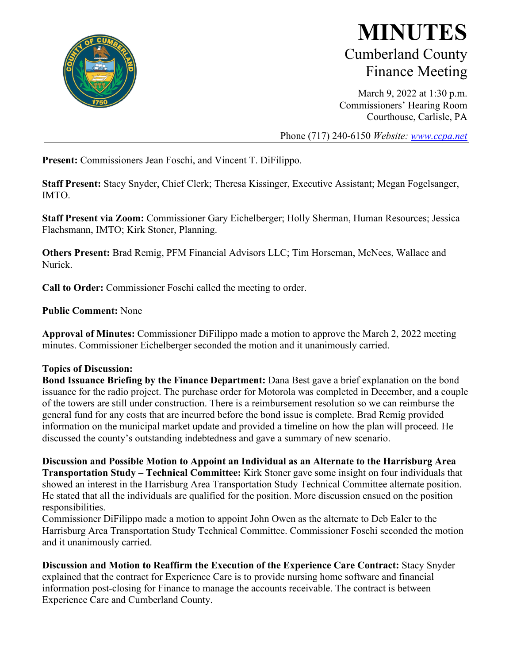

## **MINUTES** Cumberland County Finance Meeting

March 9, 2022 at 1:30 p.m. Commissioners' Hearing Room Courthouse, Carlisle, PA

Phone (717) 240-6150 *Website: [www.ccpa.net](http://www.ccpa.net/)*

**Present:** Commissioners Jean Foschi, and Vincent T. DiFilippo.

**Staff Present:** Stacy Snyder, Chief Clerk; Theresa Kissinger, Executive Assistant; Megan Fogelsanger, IMTO.

**Staff Present via Zoom:** Commissioner Gary Eichelberger; Holly Sherman, Human Resources; Jessica Flachsmann, IMTO; Kirk Stoner, Planning.

**Others Present:** Brad Remig, PFM Financial Advisors LLC; Tim Horseman, McNees, Wallace and Nurick.

**Call to Order:** Commissioner Foschi called the meeting to order.

**Public Comment:** None

**Approval of Minutes:** Commissioner DiFilippo made a motion to approve the March 2, 2022 meeting minutes. Commissioner Eichelberger seconded the motion and it unanimously carried.

## **Topics of Discussion:**

**Bond Issuance Briefing by the Finance Department:** Dana Best gave a brief explanation on the bond issuance for the radio project. The purchase order for Motorola was completed in December, and a couple of the towers are still under construction. There is a reimbursement resolution so we can reimburse the general fund for any costs that are incurred before the bond issue is complete. Brad Remig provided information on the municipal market update and provided a timeline on how the plan will proceed. He discussed the county's outstanding indebtedness and gave a summary of new scenario.

**Discussion and Possible Motion to Appoint an Individual as an Alternate to the Harrisburg Area Transportation Study – Technical Committee:** Kirk Stoner gave some insight on four individuals that showed an interest in the Harrisburg Area Transportation Study Technical Committee alternate position. He stated that all the individuals are qualified for the position. More discussion ensued on the position responsibilities.

Commissioner DiFilippo made a motion to appoint John Owen as the alternate to Deb Ealer to the Harrisburg Area Transportation Study Technical Committee. Commissioner Foschi seconded the motion and it unanimously carried.

**Discussion and Motion to Reaffirm the Execution of the Experience Care Contract:** Stacy Snyder explained that the contract for Experience Care is to provide nursing home software and financial information post-closing for Finance to manage the accounts receivable. The contract is between Experience Care and Cumberland County.